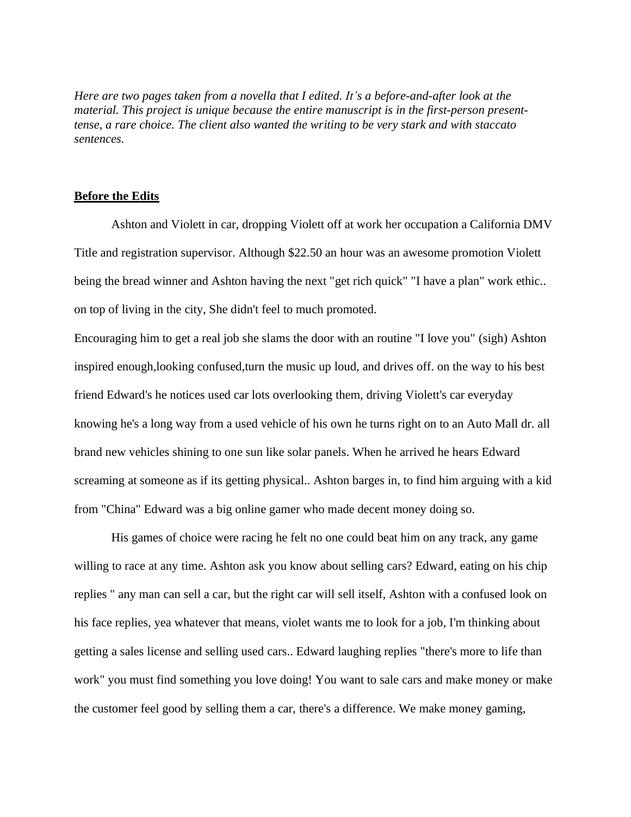*Here are two pages taken from a novella that I edited. It's a before-and-after look at the material. This project is unique because the entire manuscript is in the first-person presenttense, a rare choice. The client also wanted the writing to be very stark and with staccato sentences.*

## **Before the Edits**

Ashton and Violett in car, dropping Violett off at work her occupation a California DMV Title and registration supervisor. Although \$22.50 an hour was an awesome promotion Violett being the bread winner and Ashton having the next "get rich quick" "I have a plan" work ethic.. on top of living in the city, She didn't feel to much promoted.

Encouraging him to get a real job she slams the door with an routine "I love you" (sigh) Ashton inspired enough,looking confused,turn the music up loud, and drives off. on the way to his best friend Edward's he notices used car lots overlooking them, driving Violett's car everyday knowing he's a long way from a used vehicle of his own he turns right on to an Auto Mall dr. all brand new vehicles shining to one sun like solar panels. When he arrived he hears Edward screaming at someone as if its getting physical.. Ashton barges in, to find him arguing with a kid from "China" Edward was a big online gamer who made decent money doing so.

His games of choice were racing he felt no one could beat him on any track, any game willing to race at any time. Ashton ask you know about selling cars? Edward, eating on his chip replies " any man can sell a car, but the right car will sell itself, Ashton with a confused look on his face replies, yea whatever that means, violet wants me to look for a job, I'm thinking about getting a sales license and selling used cars.. Edward laughing replies "there's more to life than work" you must find something you love doing! You want to sale cars and make money or make the customer feel good by selling them a car, there's a difference. We make money gaming,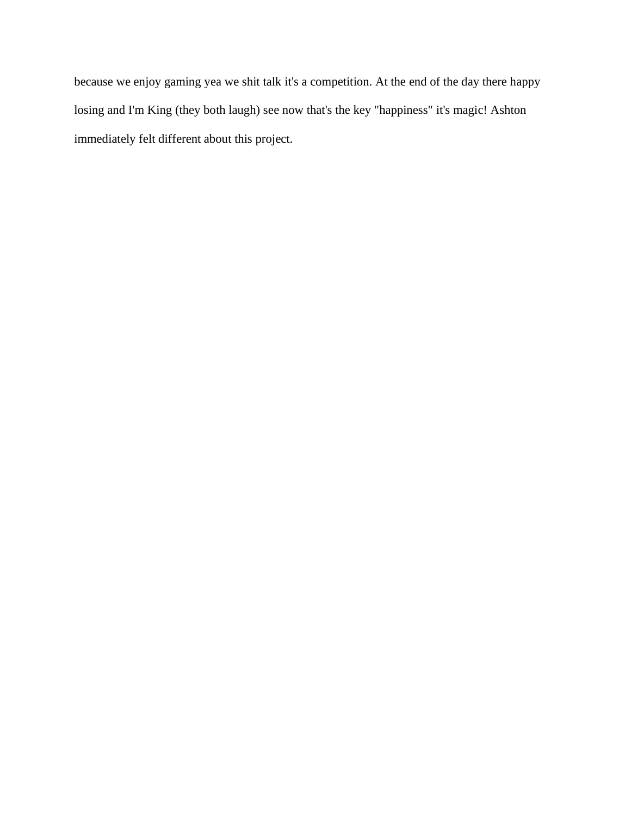because we enjoy gaming yea we shit talk it's a competition. At the end of the day there happy losing and I'm King (they both laugh) see now that's the key "happiness" it's magic! Ashton immediately felt different about this project.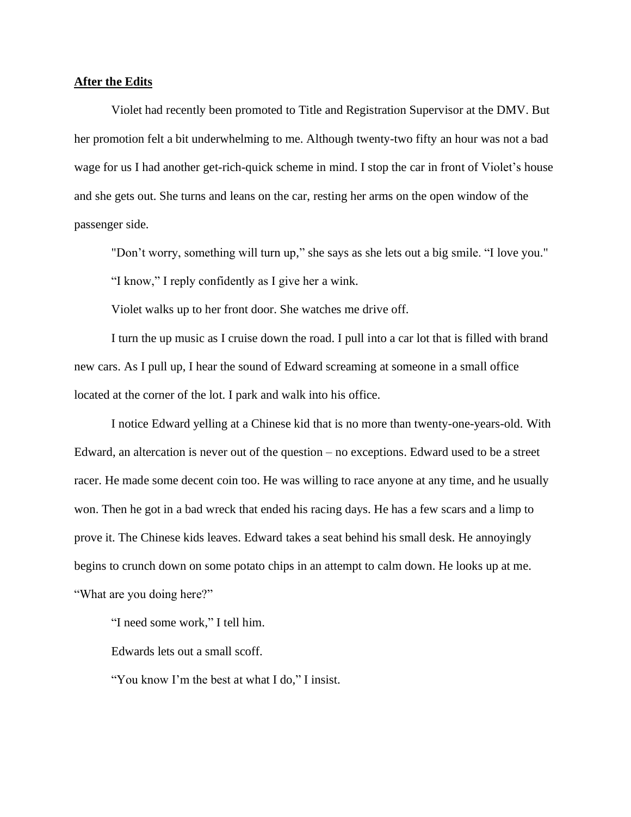## **After the Edits**

Violet had recently been promoted to Title and Registration Supervisor at the DMV. But her promotion felt a bit underwhelming to me. Although twenty-two fifty an hour was not a bad wage for us I had another get-rich-quick scheme in mind. I stop the car in front of Violet's house and she gets out. She turns and leans on the car, resting her arms on the open window of the passenger side.

"Don't worry, something will turn up," she says as she lets out a big smile. "I love you."

"I know," I reply confidently as I give her a wink.

Violet walks up to her front door. She watches me drive off.

I turn the up music as I cruise down the road. I pull into a car lot that is filled with brand new cars. As I pull up, I hear the sound of Edward screaming at someone in a small office located at the corner of the lot. I park and walk into his office.

I notice Edward yelling at a Chinese kid that is no more than twenty-one-years-old. With Edward, an altercation is never out of the question – no exceptions. Edward used to be a street racer. He made some decent coin too. He was willing to race anyone at any time, and he usually won. Then he got in a bad wreck that ended his racing days. He has a few scars and a limp to prove it. The Chinese kids leaves. Edward takes a seat behind his small desk. He annoyingly begins to crunch down on some potato chips in an attempt to calm down. He looks up at me. "What are you doing here?"

"I need some work," I tell him.

Edwards lets out a small scoff.

"You know I'm the best at what I do," I insist.